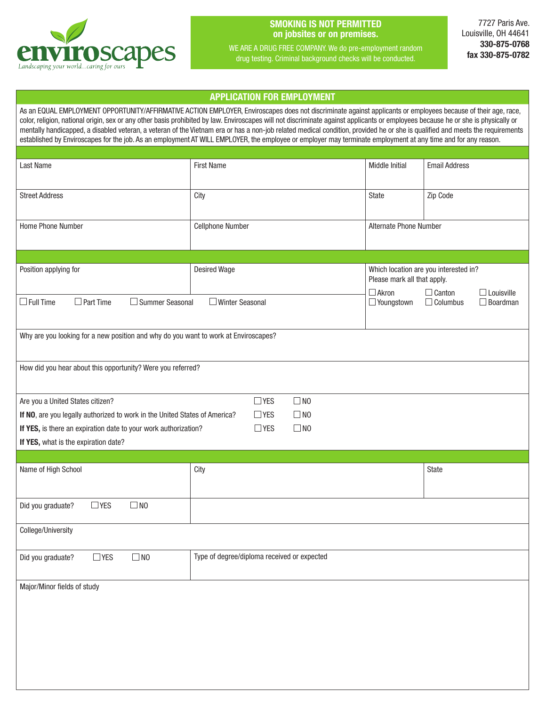

## SMOKING IS NOT PERMITTED on jobsites or on premises.

WE ARE A DRUG FREE COMPANY. We do pre-employment random drug testing. Criminal background checks will be conducted.

7727 Paris Ave. Louisville, OH 44641 330-875-0768 fax 330-875-0782

## APPLICATION FOR EMPLOYMENT

l

As an EQUAL EMPLOYMENT OPPORTUNITY/AFFIRMATIVE ACTION EMPLOYER, Enviroscapes does not discriminate against applicants or employees because of their age, race, color, religion, national origin, sex or any other basis prohibited by law. Enviroscapes will not discriminate against applicants or employees because he or she is physically or mentally handicapped, a disabled veteran, a veteran of the Vietnam era or has a non-job related medical condition, provided he or she is qualified and meets the requirements established by Enviroscapes for the job. As an employment AT WILL EMPLOYER, the employee or employer may terminate employment at any time and for any reason.

| Last Name                                                                           | <b>First Name</b>                           | <b>Middle Initial</b>                                                | <b>Email Address</b>                                                     |  |
|-------------------------------------------------------------------------------------|---------------------------------------------|----------------------------------------------------------------------|--------------------------------------------------------------------------|--|
|                                                                                     |                                             |                                                                      |                                                                          |  |
| <b>Street Address</b>                                                               | City                                        | State                                                                | Zip Code                                                                 |  |
| Home Phone Number                                                                   | Cellphone Number<br>Alternate Phone Number  |                                                                      |                                                                          |  |
|                                                                                     |                                             |                                                                      |                                                                          |  |
| Position applying for                                                               | <b>Desired Wage</b>                         | Which location are you interested in?<br>Please mark all that apply. |                                                                          |  |
| $\Box$ Part Time<br>$\Box$ Full Time<br>□ Summer Seasonal                           | □ Winter Seasonal                           | $\Box$ Akron<br>Voungstown                                           | $\Box$ Canton<br>$\Box$ Louisville<br>$\Box$ Columbus<br>$\Box$ Boardman |  |
| Why are you looking for a new position and why do you want to work at Enviroscapes? |                                             |                                                                      |                                                                          |  |
| How did you hear about this opportunity? Were you referred?                         |                                             |                                                                      |                                                                          |  |
| Are you a United States citizen?                                                    | $\Box$ NO<br>$\Box$ YES                     |                                                                      |                                                                          |  |
| If NO, are you legally authorized to work in the United States of America?          | $\square$ NO<br>$\Box$ YES                  |                                                                      |                                                                          |  |
| If YES, is there an expiration date to your work authorization?                     | $\Box$ NO<br>$\Box$ YES                     |                                                                      |                                                                          |  |
| If YES, what is the expiration date?                                                |                                             |                                                                      |                                                                          |  |
|                                                                                     |                                             |                                                                      |                                                                          |  |
| Name of High School                                                                 | City                                        |                                                                      | State                                                                    |  |
| $\Box$ NO<br>$\Box$ YES<br>Did you graduate?                                        |                                             |                                                                      |                                                                          |  |
| College/University                                                                  |                                             |                                                                      |                                                                          |  |
| $\Box$ YES<br>Did you graduate?<br>$\square$ NO                                     | Type of degree/diploma received or expected |                                                                      |                                                                          |  |
| Major/Minor fields of study                                                         |                                             |                                                                      |                                                                          |  |
|                                                                                     |                                             |                                                                      |                                                                          |  |
|                                                                                     |                                             |                                                                      |                                                                          |  |
|                                                                                     |                                             |                                                                      |                                                                          |  |
|                                                                                     |                                             |                                                                      |                                                                          |  |
|                                                                                     |                                             |                                                                      |                                                                          |  |
|                                                                                     |                                             |                                                                      |                                                                          |  |